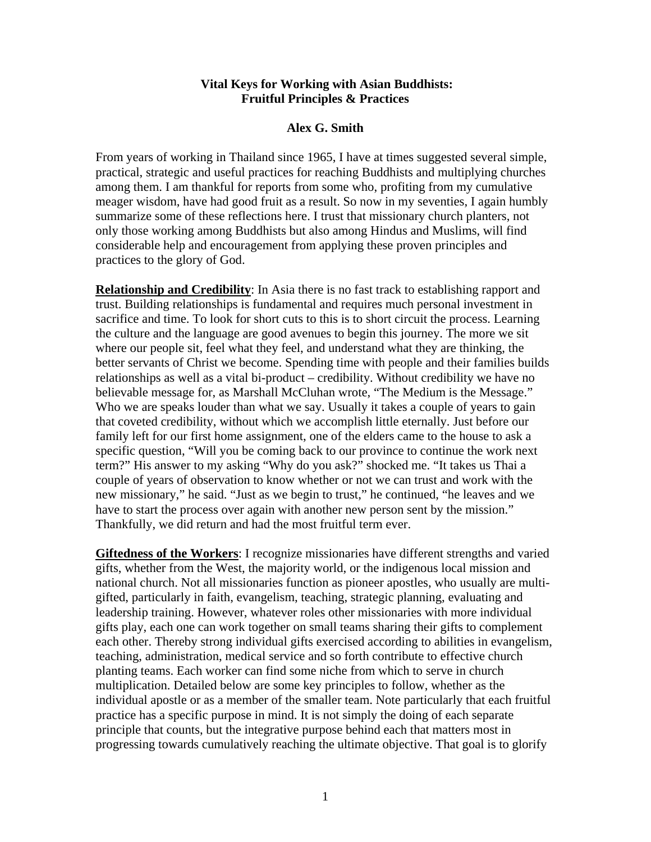## **Vital Keys for Working with Asian Buddhists: Fruitful Principles & Practices**

## **Alex G. Smith**

From years of working in Thailand since 1965, I have at times suggested several simple, practical, strategic and useful practices for reaching Buddhists and multiplying churches among them. I am thankful for reports from some who, profiting from my cumulative meager wisdom, have had good fruit as a result. So now in my seventies, I again humbly summarize some of these reflections here. I trust that missionary church planters, not only those working among Buddhists but also among Hindus and Muslims, will find considerable help and encouragement from applying these proven principles and practices to the glory of God.

**Relationship and Credibility**: In Asia there is no fast track to establishing rapport and trust. Building relationships is fundamental and requires much personal investment in sacrifice and time. To look for short cuts to this is to short circuit the process. Learning the culture and the language are good avenues to begin this journey. The more we sit where our people sit, feel what they feel, and understand what they are thinking, the better servants of Christ we become. Spending time with people and their families builds relationships as well as a vital bi-product – credibility. Without credibility we have no believable message for, as Marshall McCluhan wrote, "The Medium is the Message." Who we are speaks louder than what we say. Usually it takes a couple of years to gain that coveted credibility, without which we accomplish little eternally. Just before our family left for our first home assignment, one of the elders came to the house to ask a specific question, "Will you be coming back to our province to continue the work next term?" His answer to my asking "Why do you ask?" shocked me. "It takes us Thai a couple of years of observation to know whether or not we can trust and work with the new missionary," he said. "Just as we begin to trust," he continued, "he leaves and we have to start the process over again with another new person sent by the mission." Thankfully, we did return and had the most fruitful term ever.

**Giftedness of the Workers**: I recognize missionaries have different strengths and varied gifts, whether from the West, the majority world, or the indigenous local mission and national church. Not all missionaries function as pioneer apostles, who usually are multigifted, particularly in faith, evangelism, teaching, strategic planning, evaluating and leadership training. However, whatever roles other missionaries with more individual gifts play, each one can work together on small teams sharing their gifts to complement each other. Thereby strong individual gifts exercised according to abilities in evangelism, teaching, administration, medical service and so forth contribute to effective church planting teams. Each worker can find some niche from which to serve in church multiplication. Detailed below are some key principles to follow, whether as the individual apostle or as a member of the smaller team. Note particularly that each fruitful practice has a specific purpose in mind. It is not simply the doing of each separate principle that counts, but the integrative purpose behind each that matters most in progressing towards cumulatively reaching the ultimate objective. That goal is to glorify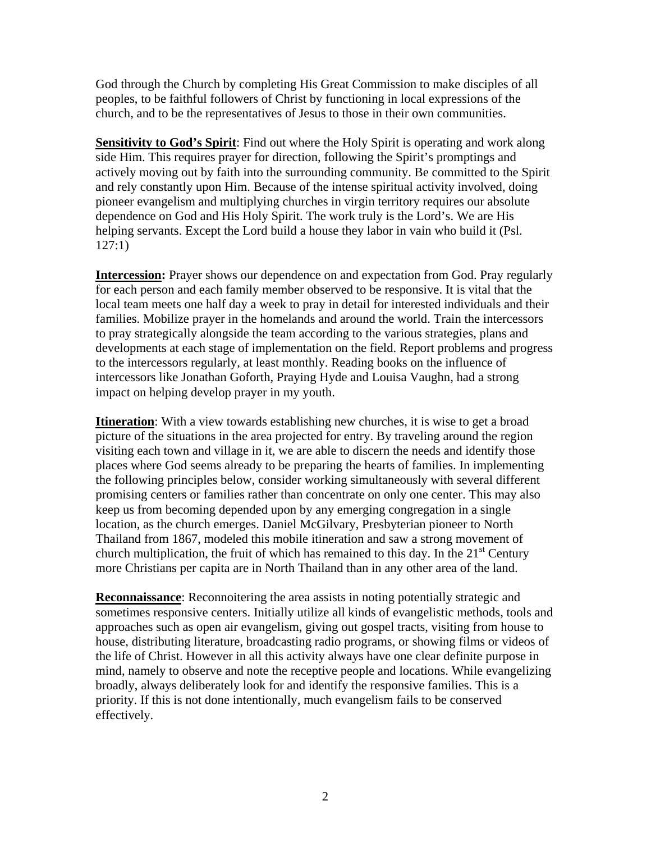God through the Church by completing His Great Commission to make disciples of all peoples, to be faithful followers of Christ by functioning in local expressions of the church, and to be the representatives of Jesus to those in their own communities.

**Sensitivity to God's Spirit**: Find out where the Holy Spirit is operating and work along side Him. This requires prayer for direction, following the Spirit's promptings and actively moving out by faith into the surrounding community. Be committed to the Spirit and rely constantly upon Him. Because of the intense spiritual activity involved, doing pioneer evangelism and multiplying churches in virgin territory requires our absolute dependence on God and His Holy Spirit. The work truly is the Lord's. We are His helping servants. Except the Lord build a house they labor in vain who build it (Psl. 127:1)

**Intercession:** Prayer shows our dependence on and expectation from God. Pray regularly for each person and each family member observed to be responsive. It is vital that the local team meets one half day a week to pray in detail for interested individuals and their families. Mobilize prayer in the homelands and around the world. Train the intercessors to pray strategically alongside the team according to the various strategies, plans and developments at each stage of implementation on the field. Report problems and progress to the intercessors regularly, at least monthly. Reading books on the influence of intercessors like Jonathan Goforth, Praying Hyde and Louisa Vaughn, had a strong impact on helping develop prayer in my youth.

**Itineration**: With a view towards establishing new churches, it is wise to get a broad picture of the situations in the area projected for entry. By traveling around the region visiting each town and village in it, we are able to discern the needs and identify those places where God seems already to be preparing the hearts of families. In implementing the following principles below, consider working simultaneously with several different promising centers or families rather than concentrate on only one center. This may also keep us from becoming depended upon by any emerging congregation in a single location, as the church emerges. Daniel McGilvary, Presbyterian pioneer to North Thailand from 1867, modeled this mobile itineration and saw a strong movement of church multiplication, the fruit of which has remained to this day. In the  $21<sup>st</sup>$  Century more Christians per capita are in North Thailand than in any other area of the land.

**Reconnaissance:** Reconnoitering the area assists in noting potentially strategic and sometimes responsive centers. Initially utilize all kinds of evangelistic methods, tools and approaches such as open air evangelism, giving out gospel tracts, visiting from house to house, distributing literature, broadcasting radio programs, or showing films or videos of the life of Christ. However in all this activity always have one clear definite purpose in mind, namely to observe and note the receptive people and locations. While evangelizing broadly, always deliberately look for and identify the responsive families. This is a priority. If this is not done intentionally, much evangelism fails to be conserved effectively.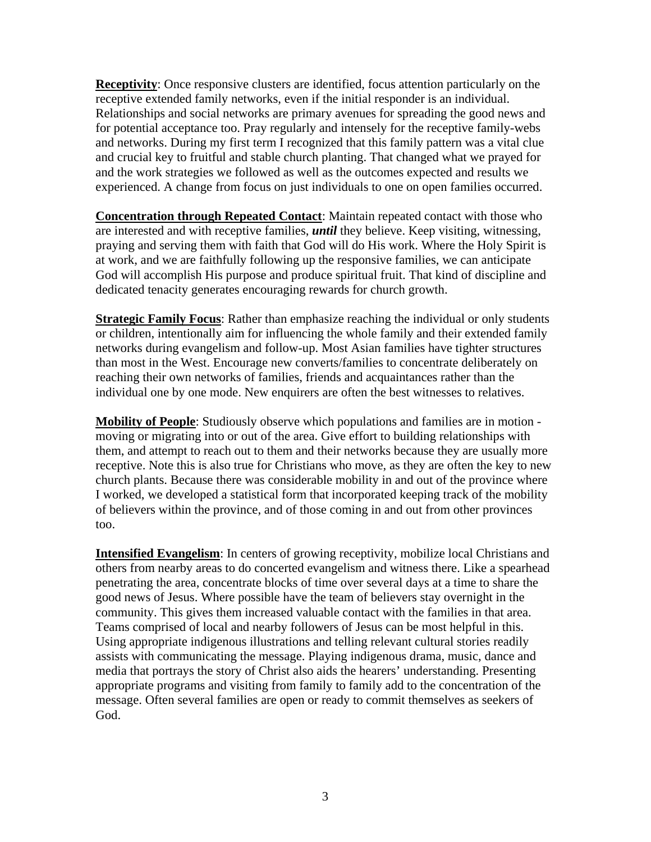**Receptivity**: Once responsive clusters are identified, focus attention particularly on the receptive extended family networks, even if the initial responder is an individual. Relationships and social networks are primary avenues for spreading the good news and for potential acceptance too. Pray regularly and intensely for the receptive family-webs and networks. During my first term I recognized that this family pattern was a vital clue and crucial key to fruitful and stable church planting. That changed what we prayed for and the work strategies we followed as well as the outcomes expected and results we experienced. A change from focus on just individuals to one on open families occurred.

**Concentration through Repeated Contact**: Maintain repeated contact with those who are interested and with receptive families, *until* they believe. Keep visiting, witnessing, praying and serving them with faith that God will do His work. Where the Holy Spirit is at work, and we are faithfully following up the responsive families, we can anticipate God will accomplish His purpose and produce spiritual fruit. That kind of discipline and dedicated tenacity generates encouraging rewards for church growth.

**Strategic Family Focus:** Rather than emphasize reaching the individual or only students or children, intentionally aim for influencing the whole family and their extended family networks during evangelism and follow-up. Most Asian families have tighter structures than most in the West. Encourage new converts/families to concentrate deliberately on reaching their own networks of families, friends and acquaintances rather than the individual one by one mode. New enquirers are often the best witnesses to relatives.

**Mobility of People**: Studiously observe which populations and families are in motion moving or migrating into or out of the area. Give effort to building relationships with them, and attempt to reach out to them and their networks because they are usually more receptive. Note this is also true for Christians who move, as they are often the key to new church plants. Because there was considerable mobility in and out of the province where I worked, we developed a statistical form that incorporated keeping track of the mobility of believers within the province, and of those coming in and out from other provinces too.

**Intensified Evangelism**: In centers of growing receptivity, mobilize local Christians and others from nearby areas to do concerted evangelism and witness there. Like a spearhead penetrating the area, concentrate blocks of time over several days at a time to share the good news of Jesus. Where possible have the team of believers stay overnight in the community. This gives them increased valuable contact with the families in that area. Teams comprised of local and nearby followers of Jesus can be most helpful in this. Using appropriate indigenous illustrations and telling relevant cultural stories readily assists with communicating the message. Playing indigenous drama, music, dance and media that portrays the story of Christ also aids the hearers' understanding. Presenting appropriate programs and visiting from family to family add to the concentration of the message. Often several families are open or ready to commit themselves as seekers of God.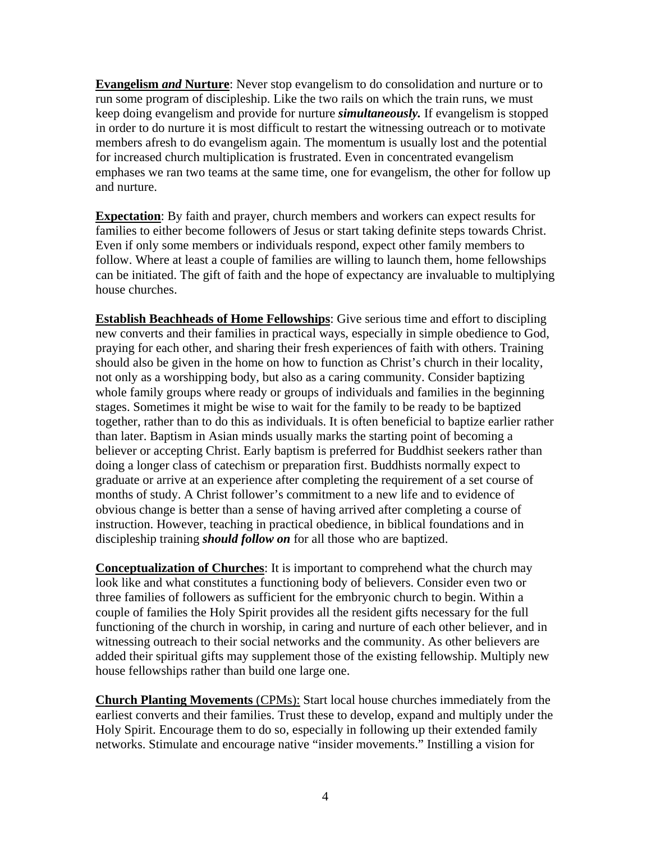**Evangelism** *and* **Nurture**: Never stop evangelism to do consolidation and nurture or to run some program of discipleship. Like the two rails on which the train runs, we must keep doing evangelism and provide for nurture *simultaneously.* If evangelism is stopped in order to do nurture it is most difficult to restart the witnessing outreach or to motivate members afresh to do evangelism again. The momentum is usually lost and the potential for increased church multiplication is frustrated. Even in concentrated evangelism emphases we ran two teams at the same time, one for evangelism, the other for follow up and nurture.

**Expectation**: By faith and prayer, church members and workers can expect results for families to either become followers of Jesus or start taking definite steps towards Christ. Even if only some members or individuals respond, expect other family members to follow. Where at least a couple of families are willing to launch them, home fellowships can be initiated. The gift of faith and the hope of expectancy are invaluable to multiplying house churches.

**Establish Beachheads of Home Fellowships**: Give serious time and effort to discipling new converts and their families in practical ways, especially in simple obedience to God, praying for each other, and sharing their fresh experiences of faith with others. Training should also be given in the home on how to function as Christ's church in their locality, not only as a worshipping body, but also as a caring community. Consider baptizing whole family groups where ready or groups of individuals and families in the beginning stages. Sometimes it might be wise to wait for the family to be ready to be baptized together, rather than to do this as individuals. It is often beneficial to baptize earlier rather than later. Baptism in Asian minds usually marks the starting point of becoming a believer or accepting Christ. Early baptism is preferred for Buddhist seekers rather than doing a longer class of catechism or preparation first. Buddhists normally expect to graduate or arrive at an experience after completing the requirement of a set course of months of study. A Christ follower's commitment to a new life and to evidence of obvious change is better than a sense of having arrived after completing a course of instruction. However, teaching in practical obedience, in biblical foundations and in discipleship training *should follow on* for all those who are baptized.

**Conceptualization of Churches**: It is important to comprehend what the church may look like and what constitutes a functioning body of believers. Consider even two or three families of followers as sufficient for the embryonic church to begin. Within a couple of families the Holy Spirit provides all the resident gifts necessary for the full functioning of the church in worship, in caring and nurture of each other believer, and in witnessing outreach to their social networks and the community. As other believers are added their spiritual gifts may supplement those of the existing fellowship. Multiply new house fellowships rather than build one large one.

**Church Planting Movements** (CPMs): Start local house churches immediately from the earliest converts and their families. Trust these to develop, expand and multiply under the Holy Spirit. Encourage them to do so, especially in following up their extended family networks. Stimulate and encourage native "insider movements." Instilling a vision for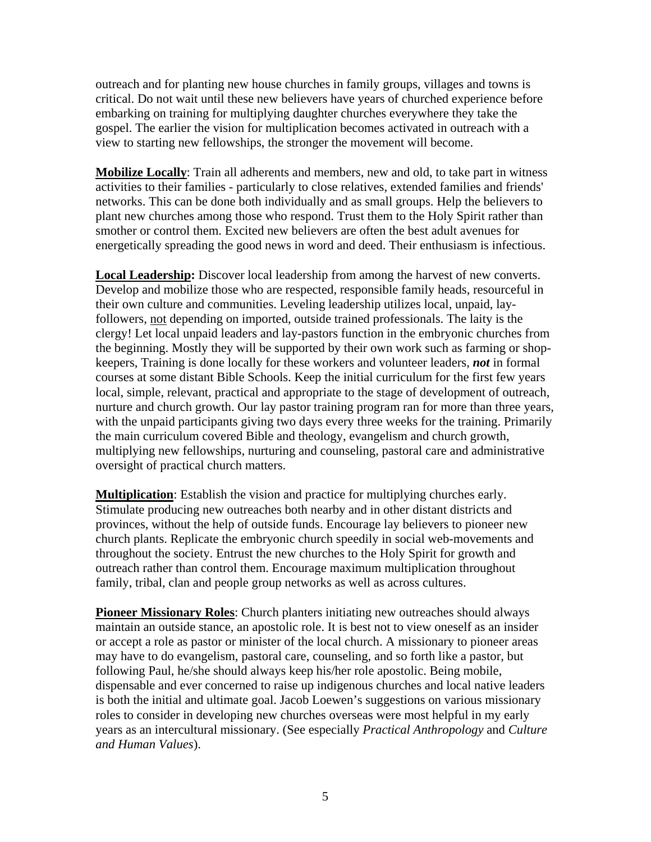outreach and for planting new house churches in family groups, villages and towns is critical. Do not wait until these new believers have years of churched experience before embarking on training for multiplying daughter churches everywhere they take the gospel. The earlier the vision for multiplication becomes activated in outreach with a view to starting new fellowships, the stronger the movement will become.

**Mobilize Locally**: Train all adherents and members, new and old, to take part in witness activities to their families - particularly to close relatives, extended families and friends' networks. This can be done both individually and as small groups. Help the believers to plant new churches among those who respond. Trust them to the Holy Spirit rather than smother or control them. Excited new believers are often the best adult avenues for energetically spreading the good news in word and deed. Their enthusiasm is infectious.

**Local Leadership:** Discover local leadership from among the harvest of new converts. Develop and mobilize those who are respected, responsible family heads, resourceful in their own culture and communities. Leveling leadership utilizes local, unpaid, layfollowers, not depending on imported, outside trained professionals. The laity is the clergy! Let local unpaid leaders and lay-pastors function in the embryonic churches from the beginning. Mostly they will be supported by their own work such as farming or shopkeepers, Training is done locally for these workers and volunteer leaders, *not* in formal courses at some distant Bible Schools. Keep the initial curriculum for the first few years local, simple, relevant, practical and appropriate to the stage of development of outreach, nurture and church growth. Our lay pastor training program ran for more than three years, with the unpaid participants giving two days every three weeks for the training. Primarily the main curriculum covered Bible and theology, evangelism and church growth, multiplying new fellowships, nurturing and counseling, pastoral care and administrative oversight of practical church matters.

**Multiplication**: Establish the vision and practice for multiplying churches early. Stimulate producing new outreaches both nearby and in other distant districts and provinces, without the help of outside funds. Encourage lay believers to pioneer new church plants. Replicate the embryonic church speedily in social web-movements and throughout the society. Entrust the new churches to the Holy Spirit for growth and outreach rather than control them. Encourage maximum multiplication throughout family, tribal, clan and people group networks as well as across cultures.

**Pioneer Missionary Roles:** Church planters initiating new outreaches should always maintain an outside stance, an apostolic role. It is best not to view oneself as an insider or accept a role as pastor or minister of the local church. A missionary to pioneer areas may have to do evangelism, pastoral care, counseling, and so forth like a pastor, but following Paul, he/she should always keep his/her role apostolic. Being mobile, dispensable and ever concerned to raise up indigenous churches and local native leaders is both the initial and ultimate goal. Jacob Loewen's suggestions on various missionary roles to consider in developing new churches overseas were most helpful in my early years as an intercultural missionary. (See especially *Practical Anthropology* and *Culture and Human Values*).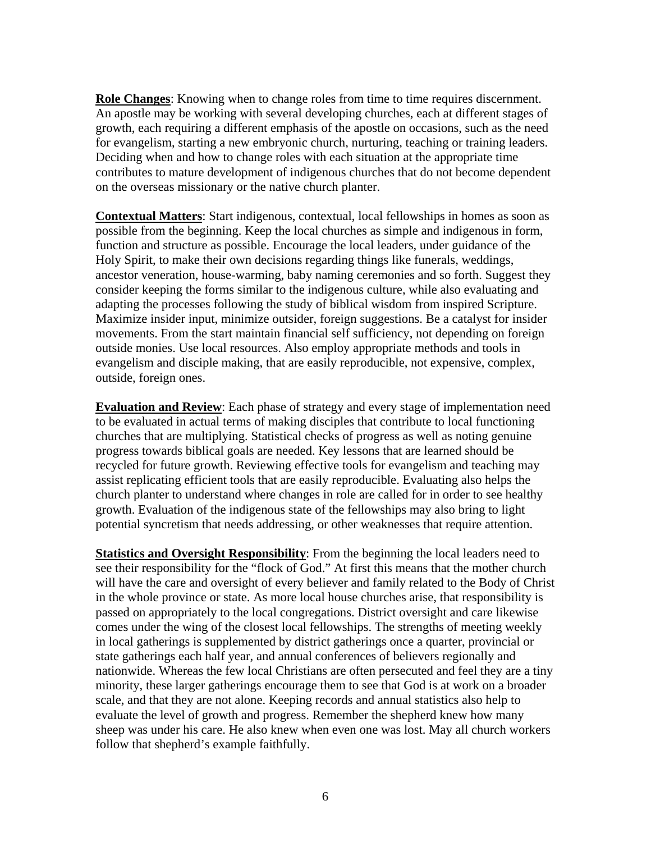**Role Changes**: Knowing when to change roles from time to time requires discernment. An apostle may be working with several developing churches, each at different stages of growth, each requiring a different emphasis of the apostle on occasions, such as the need for evangelism, starting a new embryonic church, nurturing, teaching or training leaders. Deciding when and how to change roles with each situation at the appropriate time contributes to mature development of indigenous churches that do not become dependent on the overseas missionary or the native church planter.

**Contextual Matters**: Start indigenous, contextual, local fellowships in homes as soon as possible from the beginning. Keep the local churches as simple and indigenous in form, function and structure as possible. Encourage the local leaders, under guidance of the Holy Spirit, to make their own decisions regarding things like funerals, weddings, ancestor veneration, house-warming, baby naming ceremonies and so forth. Suggest they consider keeping the forms similar to the indigenous culture, while also evaluating and adapting the processes following the study of biblical wisdom from inspired Scripture. Maximize insider input, minimize outsider, foreign suggestions. Be a catalyst for insider movements. From the start maintain financial self sufficiency, not depending on foreign outside monies. Use local resources. Also employ appropriate methods and tools in evangelism and disciple making, that are easily reproducible, not expensive, complex, outside, foreign ones.

**Evaluation and Review**: Each phase of strategy and every stage of implementation need to be evaluated in actual terms of making disciples that contribute to local functioning churches that are multiplying. Statistical checks of progress as well as noting genuine progress towards biblical goals are needed. Key lessons that are learned should be recycled for future growth. Reviewing effective tools for evangelism and teaching may assist replicating efficient tools that are easily reproducible. Evaluating also helps the church planter to understand where changes in role are called for in order to see healthy growth. Evaluation of the indigenous state of the fellowships may also bring to light potential syncretism that needs addressing, or other weaknesses that require attention.

**Statistics and Oversight Responsibility**: From the beginning the local leaders need to see their responsibility for the "flock of God." At first this means that the mother church will have the care and oversight of every believer and family related to the Body of Christ in the whole province or state. As more local house churches arise, that responsibility is passed on appropriately to the local congregations. District oversight and care likewise comes under the wing of the closest local fellowships. The strengths of meeting weekly in local gatherings is supplemented by district gatherings once a quarter, provincial or state gatherings each half year, and annual conferences of believers regionally and nationwide. Whereas the few local Christians are often persecuted and feel they are a tiny minority, these larger gatherings encourage them to see that God is at work on a broader scale, and that they are not alone. Keeping records and annual statistics also help to evaluate the level of growth and progress. Remember the shepherd knew how many sheep was under his care. He also knew when even one was lost. May all church workers follow that shepherd's example faithfully.